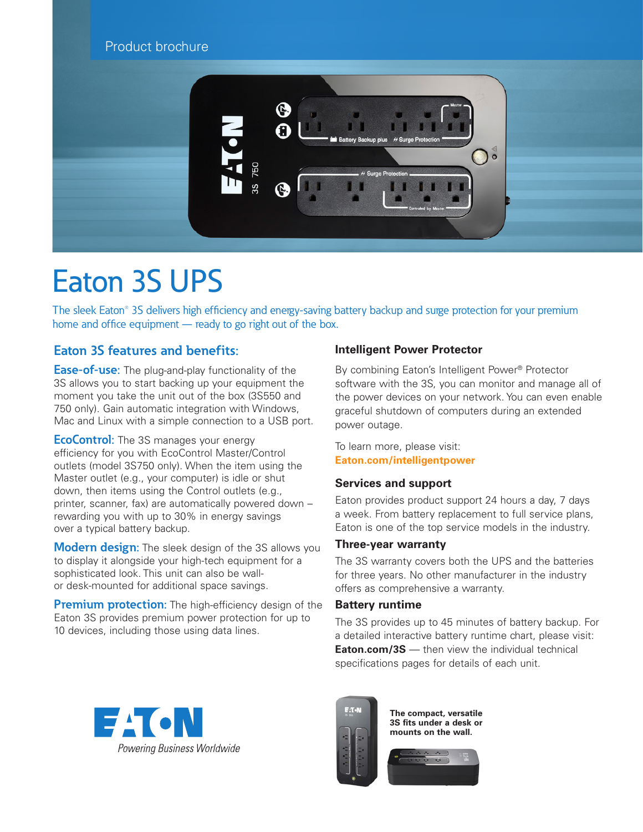# Product brochure



# Eaton 3S UPS

The sleek Eaton® 3S delivers high efficiency and energy-saving battery backup and surge protection for your premium home and office equipment — ready to go right out of the box.

# **Eaton 3S features and benefits:**

**Ease-of-use:** The plug-and-play functionality of the 3S allows you to start backing up your equipment the moment you take the unit out of the box (3S550 and 750 only). Gain automatic integration with Windows, Mac and Linux with a simple connection to a USB port.

**EcoControl:** The 3S manages your energy efficiency for you with EcoControl Master/Control outlets (model 3S750 only). When the item using the Master outlet (e.g., your computer) is idle or shut down, then items using the Control outlets (e.g., printer, scanner, fax) are automatically powered down – rewarding you with up to 30% in energy savings over a typical battery backup.

**Modern design:** The sleek design of the 3S allows you to display it alongside your high-tech equipment for a sophisticated look. This unit can also be wallor desk-mounted for additional space savings.

**Premium protection:** The high-efficiency design of the Eaton 3S provides premium power protection for up to 10 devices, including those using data lines.

### **Intelligent Power Protector**

By combining Eaton's Intelligent Power® Protector software with the 3S, you can monitor and manage all of the power devices on your network. You can even enable graceful shutdown of computers during an extended power outage.

To learn more, please visit: **[Eaton.com/intelligentpower](http://Eaton.com/intelligentpowe)** 

#### **Services and support**

Eaton provides product support 24 hours a day, 7 days a week. From battery replacement to full service plans, Eaton is one of the top service models in the industry.

#### **Three-year warranty**

The 3S warranty covers both the UPS and the batteries for three years. No other manufacturer in the industry offers as comprehensive a warranty.

#### **Battery runtime**

The 3S provides up to 45 minutes of battery backup. For a detailed interactive battery runtime chart, please visit: **[Eaton.com/3S](http://Eaton.com/3S)** — then view the individual technical specifications pages for details of each unit.





**The compact, versatile 3S fits under a desk or mounts on the wall.**